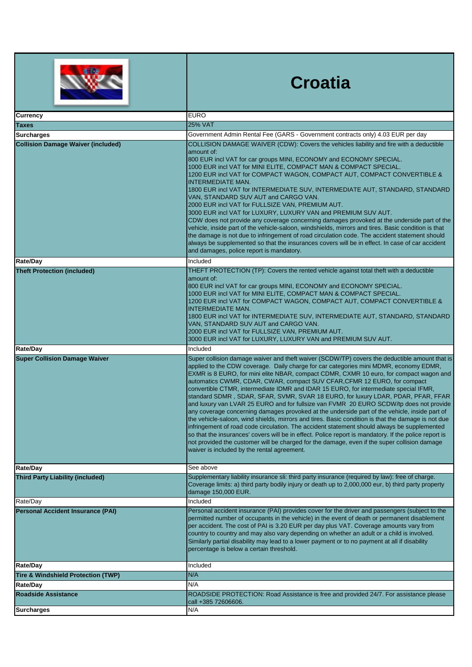|                                               | <b>Croatia</b>                                                                                                                                                                                                                                                                                                                                                                                                                                                                                                                                                                                                                                                                                                                                                                                                                                                                                                                                                                                                                                                                                                                                                                                   |
|-----------------------------------------------|--------------------------------------------------------------------------------------------------------------------------------------------------------------------------------------------------------------------------------------------------------------------------------------------------------------------------------------------------------------------------------------------------------------------------------------------------------------------------------------------------------------------------------------------------------------------------------------------------------------------------------------------------------------------------------------------------------------------------------------------------------------------------------------------------------------------------------------------------------------------------------------------------------------------------------------------------------------------------------------------------------------------------------------------------------------------------------------------------------------------------------------------------------------------------------------------------|
| <b>Currency</b>                               | <b>EURO</b>                                                                                                                                                                                                                                                                                                                                                                                                                                                                                                                                                                                                                                                                                                                                                                                                                                                                                                                                                                                                                                                                                                                                                                                      |
| <b>Taxes</b>                                  | <b>25% VAT</b>                                                                                                                                                                                                                                                                                                                                                                                                                                                                                                                                                                                                                                                                                                                                                                                                                                                                                                                                                                                                                                                                                                                                                                                   |
| <b>Surcharges</b>                             | Government Admin Rental Fee (GARS - Government contracts only) 4.03 EUR per day                                                                                                                                                                                                                                                                                                                                                                                                                                                                                                                                                                                                                                                                                                                                                                                                                                                                                                                                                                                                                                                                                                                  |
| <b>Collision Damage Waiver (included)</b>     | COLLISION DAMAGE WAIVER (CDW): Covers the vehicles liability and fire with a deductible<br>amount of:<br>800 EUR incl VAT for car groups MINI, ECONOMY and ECONOMY SPECIAL.<br>1000 EUR incl VAT for MINI ELITE, COMPACT MAN & COMPACT SPECIAL.<br>1200 EUR incl VAT for COMPACT WAGON, COMPACT AUT, COMPACT CONVERTIBLE &<br>INTERMEDIATE MAN.<br>1800 EUR incl VAT for INTERMEDIATE SUV, INTERMEDIATE AUT, STANDARD, STANDARD<br>VAN, STANDARD SUV AUT and CARGO VAN.<br>2000 EUR incl VAT for FULLSIZE VAN, PREMIUM AUT.<br>3000 EUR incl VAT for LUXURY, LUXURY VAN and PREMIUM SUV AUT.<br>CDW does not provide any coverage concerning damages provoked at the underside part of the<br>vehicle, inside part of the vehicle-saloon, windshields, mirrors and tires. Basic condition is that<br>the damage is not due to infringement of road circulation code. The accident statement should<br>always be supplemented so that the insurances covers will be in effect. In case of car accident<br>and damages, police report is mandatory.                                                                                                                                                |
| <b>Rate/Day</b>                               | Included                                                                                                                                                                                                                                                                                                                                                                                                                                                                                                                                                                                                                                                                                                                                                                                                                                                                                                                                                                                                                                                                                                                                                                                         |
| <b>Theft Protection (included)</b>            | THEFT PROTECTION (TP): Covers the rented vehicle against total theft with a deductible<br>amount of:<br>800 EUR incl VAT for car groups MINI, ECONOMY and ECONOMY SPECIAL.<br>1000 EUR incl VAT for MINI ELITE, COMPACT MAN & COMPACT SPECIAL.<br>1200 EUR incl VAT for COMPACT WAGON, COMPACT AUT, COMPACT CONVERTIBLE &<br><b>INTERMEDIATE MAN.</b><br>1800 EUR incl VAT for INTERMEDIATE SUV, INTERMEDIATE AUT, STANDARD, STANDARD<br>VAN, STANDARD SUV AUT and CARGO VAN.<br>2000 EUR incl VAT for FULLSIZE VAN, PREMIUM AUT.<br>3000 EUR incl VAT for LUXURY, LUXURY VAN and PREMIUM SUV AUT.                                                                                                                                                                                                                                                                                                                                                                                                                                                                                                                                                                                               |
| Rate/Day                                      | Included                                                                                                                                                                                                                                                                                                                                                                                                                                                                                                                                                                                                                                                                                                                                                                                                                                                                                                                                                                                                                                                                                                                                                                                         |
| <b>Super Collision Damage Waiver</b>          | Super collision damage waiver and theft waiver (SCDW/TP) covers the deductible amount that is<br>applied to the CDW coverage. Daily charge for car categories mini MDMR, economy EDMR,<br>EXMR is 8 EURO, for mini elite NBAR, compact CDMR, CXMR 10 euro, for compact wagon and<br>automatics CWMR, CDAR, CWAR, compact SUV CFAR, CFMR 12 EURO, for compact<br>convertible CTMR, intermediate IDMR and IDAR 15 EURO, for intermediate special IFMR,<br>standard SDMR, SDAR, SFAR, SVMR, SVAR 18 EURO, for luxury LDAR, PDAR, PFAR, FFAR<br>and luxury van LVAR 25 EURO and for fullsize van FVMR 20 EURO SCDW/tp does not provide<br>any coverage concerning damages provoked at the underside part of the vehicle, inside part of<br>the vehicle-saloon, wind shields, mirrors and tires. Basic condition is that the damage is not due<br>infringement of road code circulation. The accident statement should always be supplemented<br>so that the insurances' covers will be in effect. Police report is mandatory. If the police report is<br>not provided the customer will be charged for the damage, even if the super collision damage<br>waiver is included by the rental agreement. |
| <b>Rate/Day</b>                               | See above                                                                                                                                                                                                                                                                                                                                                                                                                                                                                                                                                                                                                                                                                                                                                                                                                                                                                                                                                                                                                                                                                                                                                                                        |
| <b>Third Party Liability (included)</b>       | Supplementary liability insurance sli: third party insurance (required by law): free of charge.<br>Coverage limits: a) third party bodily injury or death up to 2,000,000 eur, b) third party property<br>damage 150,000 EUR.                                                                                                                                                                                                                                                                                                                                                                                                                                                                                                                                                                                                                                                                                                                                                                                                                                                                                                                                                                    |
| Rate/Day                                      | Included                                                                                                                                                                                                                                                                                                                                                                                                                                                                                                                                                                                                                                                                                                                                                                                                                                                                                                                                                                                                                                                                                                                                                                                         |
| <b>Personal Accident Insurance (PAI)</b>      | Personal accident insurance (PAI) provides cover for the driver and passengers (subject to the<br>permitted number of occupants in the vehicle) in the event of death or permanent disablement<br>per accident. The cost of PAI is 3.20 EUR per day plus VAT. Coverage amounts vary from<br>country to country and may also vary depending on whether an adult or a child is involved.<br>Similarly partial disability may lead to a lower payment or to no payment at all if disability<br>percentage is below a certain threshold.                                                                                                                                                                                                                                                                                                                                                                                                                                                                                                                                                                                                                                                             |
| <b>Rate/Day</b>                               | Included                                                                                                                                                                                                                                                                                                                                                                                                                                                                                                                                                                                                                                                                                                                                                                                                                                                                                                                                                                                                                                                                                                                                                                                         |
| <b>Tire &amp; Windshield Protection (TWP)</b> | N/A                                                                                                                                                                                                                                                                                                                                                                                                                                                                                                                                                                                                                                                                                                                                                                                                                                                                                                                                                                                                                                                                                                                                                                                              |
| <b>Rate/Day</b>                               | N/A                                                                                                                                                                                                                                                                                                                                                                                                                                                                                                                                                                                                                                                                                                                                                                                                                                                                                                                                                                                                                                                                                                                                                                                              |
| <b>Roadside Assistance</b>                    | ROADSIDE PROTECTION: Road Assistance is free and provided 24/7. For assistance please<br>call +385 72606606.                                                                                                                                                                                                                                                                                                                                                                                                                                                                                                                                                                                                                                                                                                                                                                                                                                                                                                                                                                                                                                                                                     |
| <b>Surcharges</b>                             | N/A                                                                                                                                                                                                                                                                                                                                                                                                                                                                                                                                                                                                                                                                                                                                                                                                                                                                                                                                                                                                                                                                                                                                                                                              |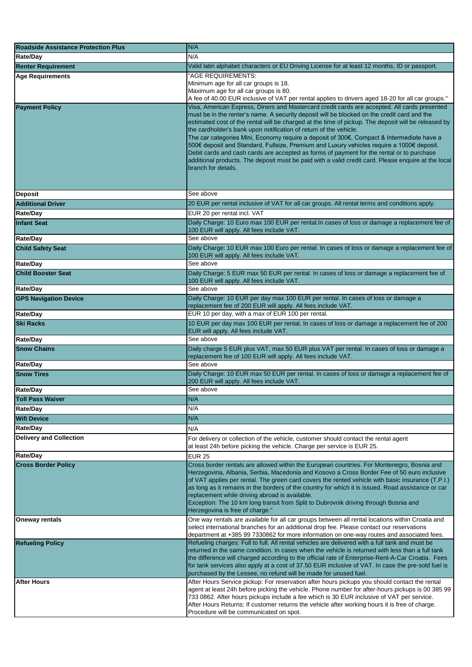| <b>Roadside Assistance Protection Plus</b> | N/A                                                                                                                                                                                                                                                                                                                                                                                                                                                                                                                                                                                                                                                                                                                                                                                          |
|--------------------------------------------|----------------------------------------------------------------------------------------------------------------------------------------------------------------------------------------------------------------------------------------------------------------------------------------------------------------------------------------------------------------------------------------------------------------------------------------------------------------------------------------------------------------------------------------------------------------------------------------------------------------------------------------------------------------------------------------------------------------------------------------------------------------------------------------------|
| Rate/Dav                                   | N/A                                                                                                                                                                                                                                                                                                                                                                                                                                                                                                                                                                                                                                                                                                                                                                                          |
| <b>Renter Requirement</b>                  | Valid latin alphabet characters or EU Driving License for at least 12 months, ID or passport.                                                                                                                                                                                                                                                                                                                                                                                                                                                                                                                                                                                                                                                                                                |
| <b>Age Requirements</b>                    | "AGE REQUIREMENTS:<br>Minimum age for all car groups is 18.<br>Maximum age for all car groups is 80.<br>A fee of 40.00 EUR inclusive of VAT per rental applies to drivers aged 18-20 for all car groups."                                                                                                                                                                                                                                                                                                                                                                                                                                                                                                                                                                                    |
| <b>Payment Policy</b>                      | Visa, American Express, Diners and Mastercard credit cards are accepted. All cards presented<br>must be in the renter's name. A security deposit will be blocked on the credit card and the<br>estimated cost of the rental will be charged at the time of pickup. The deposit will be released by<br>the cardholder's bank upon notification of return of the vehicle.<br>The car categories Mini, Economy require a deposit of 300€, Compact & Intermediate have a<br>500€ deposit and Standard, Fullsize, Premium and Luxury vehicles require a 1000€ deposit.<br>Debit cards and cash cards are accepted as forms of payment for the rental or to purchase<br>additional products. The deposit must be paid with a valid credit card. Please enquire at the local<br>branch for details. |
| <b>Deposit</b>                             | See above                                                                                                                                                                                                                                                                                                                                                                                                                                                                                                                                                                                                                                                                                                                                                                                    |
| <b>Additional Driver</b>                   | 20 EUR per rental inclusive of VAT for all car groups. All rental terms and conditions apply.                                                                                                                                                                                                                                                                                                                                                                                                                                                                                                                                                                                                                                                                                                |
| Rate/Day                                   | EUR 20 per rental incl. VAT                                                                                                                                                                                                                                                                                                                                                                                                                                                                                                                                                                                                                                                                                                                                                                  |
| <b>Infant Seat</b>                         | Daily Charge: 10 Euro max 100 EUR per rental. In cases of loss or damage a replacement fee of<br>100 EUR will apply. All fees include VAT.                                                                                                                                                                                                                                                                                                                                                                                                                                                                                                                                                                                                                                                   |
| Rate/Day                                   | See above                                                                                                                                                                                                                                                                                                                                                                                                                                                                                                                                                                                                                                                                                                                                                                                    |
| <b>Child Safety Seat</b>                   | Daily Charge: 10 EUR max 100 Euro per rental. In cases of loss or damage a replacement fee of<br>100 EUR will apply. All fees include VAT.<br>See above                                                                                                                                                                                                                                                                                                                                                                                                                                                                                                                                                                                                                                      |
| Rate/Day<br><b>Child Booster Seat</b>      |                                                                                                                                                                                                                                                                                                                                                                                                                                                                                                                                                                                                                                                                                                                                                                                              |
|                                            | Daily Charge: 5 EUR max 50 EUR per rental. In cases of loss or damage a replacement fee of<br>100 EUR will apply. All fees include VAT.<br>See above                                                                                                                                                                                                                                                                                                                                                                                                                                                                                                                                                                                                                                         |
| Rate/Day                                   |                                                                                                                                                                                                                                                                                                                                                                                                                                                                                                                                                                                                                                                                                                                                                                                              |
| <b>GPS Navigation Device</b>               | Daily Charge: 10 EUR per day max 100 EUR per rental. In cases of loss or damage a<br>replacement fee of 200 EUR will apply. All fees include VAT.                                                                                                                                                                                                                                                                                                                                                                                                                                                                                                                                                                                                                                            |
| Rate/Day                                   | EUR 10 per day, with a max of EUR 100 per rental.                                                                                                                                                                                                                                                                                                                                                                                                                                                                                                                                                                                                                                                                                                                                            |
| <b>Ski Racks</b>                           | 10 EUR per day max 100 EUR per rental. In cases of loss or damage a replacement fee of 200<br>EUR will apply. All fees include VAT.                                                                                                                                                                                                                                                                                                                                                                                                                                                                                                                                                                                                                                                          |
| Rate/Day                                   | See above                                                                                                                                                                                                                                                                                                                                                                                                                                                                                                                                                                                                                                                                                                                                                                                    |
| <b>Snow Chains</b>                         | Daily charge 5 EUR plus VAT, max 50 EUR plus VAT per rental. In cases of loss or damage a<br>replacement fee of 100 EUR will apply. All fees include VAT.                                                                                                                                                                                                                                                                                                                                                                                                                                                                                                                                                                                                                                    |
| Rate/Day                                   | See above                                                                                                                                                                                                                                                                                                                                                                                                                                                                                                                                                                                                                                                                                                                                                                                    |
| <b>Snow Tires</b>                          | Daily Charge: 10 EUR max 50 EUR per rental. In cases of loss or damage a replacement fee of<br>200 EUR will apply. All fees include VAT.                                                                                                                                                                                                                                                                                                                                                                                                                                                                                                                                                                                                                                                     |
| Rate/Day                                   | See above                                                                                                                                                                                                                                                                                                                                                                                                                                                                                                                                                                                                                                                                                                                                                                                    |
| Toll Pass Waiver                           | N/A<br>N/A                                                                                                                                                                                                                                                                                                                                                                                                                                                                                                                                                                                                                                                                                                                                                                                   |
| Rate/Day                                   | N/A                                                                                                                                                                                                                                                                                                                                                                                                                                                                                                                                                                                                                                                                                                                                                                                          |
| Wifi Device<br>Rate/Day                    |                                                                                                                                                                                                                                                                                                                                                                                                                                                                                                                                                                                                                                                                                                                                                                                              |
| <b>Delivery and Collection</b>             | N/A<br>For delivery or collection of the vehicle, customer should contact the rental agent<br>at least 24h before picking the vehicle. Charge per service is EUR 25.                                                                                                                                                                                                                                                                                                                                                                                                                                                                                                                                                                                                                         |
| Rate/Day                                   | <b>EUR 25</b>                                                                                                                                                                                                                                                                                                                                                                                                                                                                                                                                                                                                                                                                                                                                                                                |
| <b>Cross Border Policy</b>                 | Cross border rentals are allowed within the European countries. For Montenegro, Bosnia and<br>Herzegovina, Albania, Serbia, Macedonia and Kosovo a Cross Border Fee of 50 euro inclusive<br>of VAT applies per rental. The green card covers the rented vehicle with basic insurance (T.P.I.)<br>as long as it remains in the borders of the country for which it is issued. Road assistance or car<br>replacement while driving abroad is available.<br>Exception: The 10 km long transit from Split to Dubrovnik driving through Bosnia and<br>Herzegovina is free of charge."                                                                                                                                                                                                             |
| Oneway rentals                             | One way rentals are available for all car groups between all rental locations within Croatia and<br>select international branches for an additional drop fee. Please contact our reservations<br>department at +385 99 7330862 for more information on one-way routes and associated fees.                                                                                                                                                                                                                                                                                                                                                                                                                                                                                                   |
| <b>Refueling Policy</b>                    | Refueling charges: Full to full. All rental vehicles are delivered with a full tank and must be<br>returned in the same condition. In cases when the vehicle is returned with less than a full tank<br>the difference will charged according to the official rate of Enterprise-Rent-A-Car Croatia. Fees<br>for tank services also apply at a cost of 37.50 EUR inclusive of VAT. In case the pre-sold fuel is<br>purchased by the Lessee, no refund will be made for unused fuel.                                                                                                                                                                                                                                                                                                           |
| <b>After Hours</b>                         | After Hours Service pickup: For reservation after hours pickups you should contact the rental<br>agent at least 24h before picking the vehicle. Phone number for after-hours pickups is 00 385 99<br>733 0862. After hours pickups include a fee which is 30 EUR inclusive of VAT per service.<br>After Hours Returns: If customer returns the vehicle after working hours it is free of charge.<br>Procedure will be communicated on spot.                                                                                                                                                                                                                                                                                                                                                  |